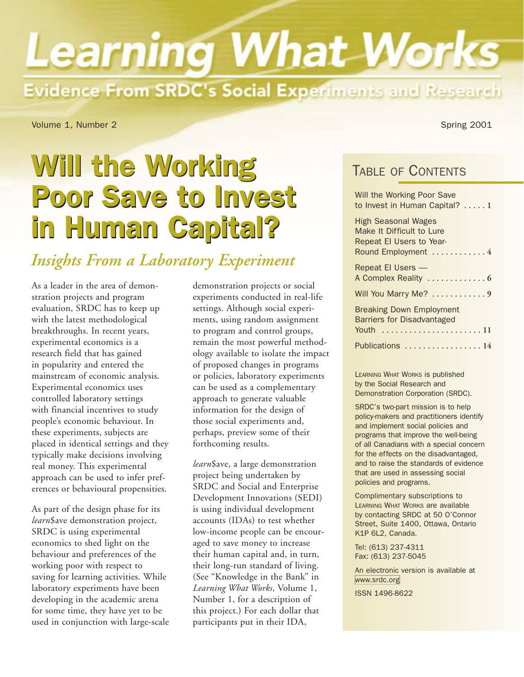# **Learning What Works** Evidence From SRDC's Social Experiments and Research

<span id="page-0-0"></span>Volume 1, Number 2 Spring 2001

## Will the Working Poor Save to Invest Poor Save to Invest in Human Capital? in Human Capital?

## *Insights From a Laboratory Experiment*

As a leader in the area of demonstration projects and program evaluation, SRDC has to keep up with the latest methodological breakthroughs. In recent years, experimental economics is a research field that has gained in popularity and entered the mainstream of economic analysis. Experimental economics uses controlled laboratory settings with financial incentives to study people's economic behaviour. In these experiments, subjects are placed in identical settings and they typically make decisions involving real money. This experimental approach can be used to infer preferences or behavioural propensities.

As part of the design phase for its *learn*\$ave demonstration project, SRDC is using experimental economics to shed light on the behaviour and preferences of the working poor with respect to saving for learning activities. While laboratory experiments have been developing in the academic arena for some time, they have yet to be used in conjunction with large-scale

demonstration projects or social experiments conducted in real-life settings. Although social experiments, using random assignment to program and control groups, remain the most powerful methodology available to isolate the impact of proposed changes in programs or policies, laboratory experiments can be used as a complementary approach to generate valuable information for the design of those social experiments and, perhaps, preview some of their forthcoming results.

*learn*\$ave, a large demonstration project being undertaken by SRDC and Social and Enterprise Development Innovations (SEDI) is using individual development accounts (IDAs) to test whether low-income people can be encouraged to save money to increase their human capital and, in turn, their long-run standard of living. (See "Knowledge in the Bank" in *Learning What Works*, Volume 1, Number 1, for a description of this project.) For each dollar that participants put in their IDA,

TABLE OF CONTENTS

| Will the Working Poor Save<br>to Invest in Human Capital? 1                                                |
|------------------------------------------------------------------------------------------------------------|
| <b>High Seasonal Wages</b><br>Make It Difficult to Lure<br>Repeat El Users to Year-<br>Round Employment  4 |
| Repeat El Users —                                                                                          |
| Will You Marry Me?  9                                                                                      |
| <b>Breaking Down Employment</b><br><b>Barriers for Disadvantaged</b><br>Youth                              |
| Publications  14                                                                                           |

LEARNING WHAT WORKS is published by the Social Research and Demonstration Corporation (SRDC).

SRDC's two-part mission is to help policy-makers and practitioners identify and implement social policies and programs that improve the well-being of all Canadians with a special concern for the effects on the disadvantaged, and to raise the standards of evidence that are used in assessing social policies and programs.

Complimentary subscriptions to LEARNING WHAT WORKS are available by contacting SRDC at 50 O'Connor Street, Suite 1400, Ottawa, Ontario K1P 6L2, Canada.

Tel: (613) 237-4311 Fax: (613) 237-5045

An electronic version is available at [www.srdc.org](http://www.srdc.org)

ISSN 1496-8622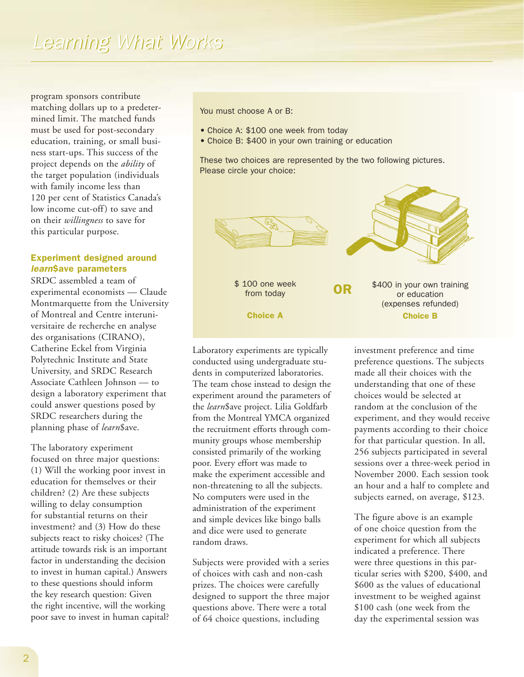program sponsors contribute matching dollars up to a predetermined limit. The matched funds must be used for post-secondary education, training, or small business start-ups. This success of the project depends on the *ability* of the target population (individuals with family income less than 120 per cent of Statistics Canada's low income cut-off) to save and on their *willingness* to save for this particular purpose.

### Experiment designed around *learn*\$ave parameters

SRDC assembled a team of experimental economists — Claude Montmarquette from the University of Montreal and Centre interuniversitaire de recherche en analyse des organisations (CIRANO), Catherine Eckel from Virginia Polytechnic Institute and State University, and SRDC Research Associate Cathleen Johnson — to design a laboratory experiment that could answer questions posed by SRDC researchers during the planning phase of *learn*\$ave.

The laboratory experiment focused on three major questions: (1) Will the working poor invest in education for themselves or their children? (2) Are these subjects willing to delay consumption for substantial returns on their investment? and (3) How do these subjects react to risky choices? (The attitude towards risk is an important factor in understanding the decision to invest in human capital.) Answers to these questions should inform the key research question: Given the right incentive, will the working poor save to invest in human capital? You must choose A or B:

- Choice A: \$100 one week from today
- Choice B: \$400 in your own training or education

These two choices are represented by the two following pictures. Please circle your choice:



Laboratory experiments are typically conducted using undergraduate students in computerized laboratories. The team chose instead to design the experiment around the parameters of the *learn*\$ave project. Lilia Goldfarb from the Montreal YMCA organized the recruitment efforts through community groups whose membership consisted primarily of the working poor. Every effort was made to make the experiment accessible and non-threatening to all the subjects. No computers were used in the administration of the experiment and simple devices like bingo balls and dice were used to generate random draws.

Subjects were provided with a series of choices with cash and non-cash prizes. The choices were carefully designed to support the three major questions above. There were a total of 64 choice questions, including

investment preference and time preference questions. The subjects made all their choices with the understanding that one of these choices would be selected at random at the conclusion of the experiment, and they would receive payments according to their choice for that particular question. In all, 256 subjects participated in several sessions over a three-week period in November 2000. Each session took an hour and a half to complete and subjects earned, on average, \$123.

The figure above is an example of one choice question from the experiment for which all subjects indicated a preference. There were three questions in this particular series with \$200, \$400, and \$600 as the values of educational investment to be weighed against \$100 cash (one week from the day the experimental session was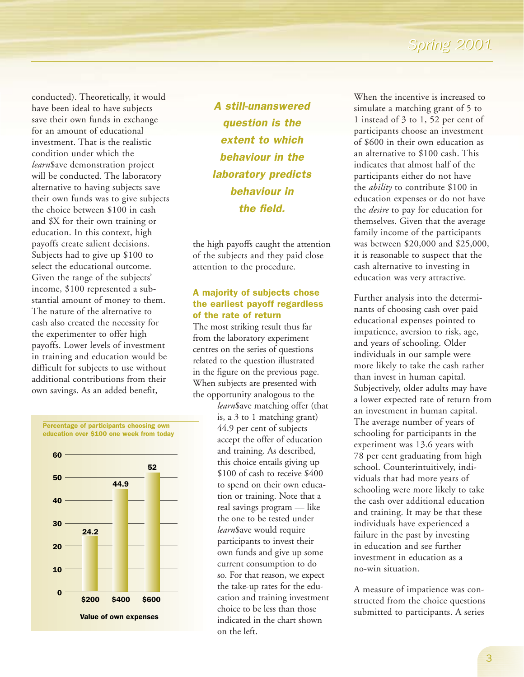conducted). Theoretically, it would have been ideal to have subjects save their own funds in exchange for an amount of educational investment. That is the realistic condition under which the *learn*\$ave demonstration project will be conducted. The laboratory alternative to having subjects save their own funds was to give subjects the choice between \$100 in cash and \$X for their own training or education. In this context, high payoffs create salient decisions. Subjects had to give up \$100 to select the educational outcome. Given the range of the subjects' income, \$100 represented a substantial amount of money to them. The nature of the alternative to cash also created the necessity for the experimenter to offer high payoffs. Lower levels of investment in training and education would be difficult for subjects to use without additional contributions from their own savings. As an added benefit,



*A still-unanswered question is the extent to which behaviour in the laboratory predicts behaviour in the field.*

the high payoffs caught the attention of the subjects and they paid close attention to the procedure.

#### A majority of subjects chose the earliest payoff regardless of the rate of return

The most striking result thus far from the laboratory experiment centres on the series of questions related to the question illustrated in the figure on the previous page. When subjects are presented with the opportunity analogous to the

*learn*\$ave matching offer (that is, a 3 to 1 matching grant) 44.9 per cent of subjects accept the offer of education and training. As described, this choice entails giving up \$100 of cash to receive \$400 to spend on their own education or training. Note that a real savings program — like the one to be tested under *learn*\$ave would require participants to invest their own funds and give up some current consumption to do so. For that reason, we expect the take-up rates for the education and training investment choice to be less than those indicated in the chart shown on the left.

When the incentive is increased to simulate a matching grant of 5 to 1 instead of 3 to 1, 52 per cent of participants choose an investment of \$600 in their own education as an alternative to \$100 cash. This indicates that almost half of the participants either do not have the *ability* to contribute \$100 in education expenses or do not have the *desire* to pay for education for themselves. Given that the average family income of the participants was between \$20,000 and \$25,000, it is reasonable to suspect that the cash alternative to investing in education was very attractive.

Further analysis into the determinants of choosing cash over paid educational expenses pointed to impatience, aversion to risk, age, and years of schooling. Older individuals in our sample were more likely to take the cash rather than invest in human capital. Subjectively, older adults may have a lower expected rate of return from an investment in human capital. The average number of years of schooling for participants in the experiment was 13.6 years with 78 per cent graduating from high school. Counterintuitively, individuals that had more years of schooling were more likely to take the cash over additional education and training. It may be that these individuals have experienced a failure in the past by investing in education and see further investment in education as a no-win situation.

A measure of impatience was constructed from the choice questions submitted to participants. A series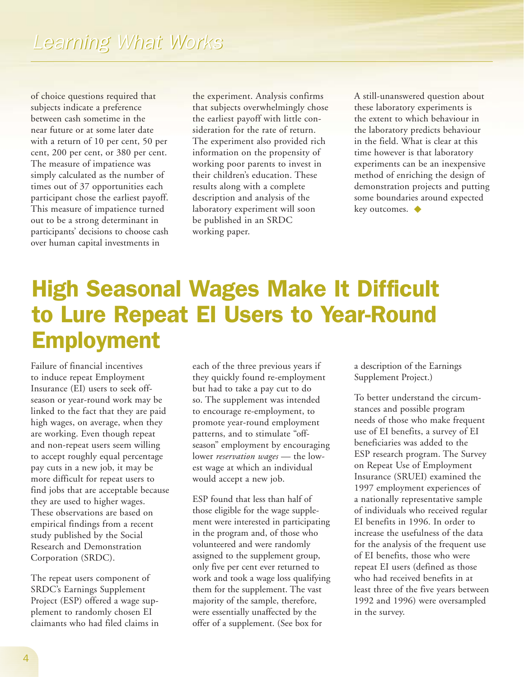<span id="page-3-0"></span>of choice questions required that subjects indicate a preference between cash sometime in the near future or at some later date with a return of 10 per cent, 50 per cent, 200 per cent, or 380 per cent. The measure of impatience was simply calculated as the number of times out of 37 opportunities each participant chose the earliest payoff. This measure of impatience turned out to be a strong determinant in participants' decisions to choose cash over human capital investments in

the experiment. Analysis confirms that subjects overwhelmingly chose the earliest payoff with little consideration for the rate of return. The experiment also provided rich information on the propensity of working poor parents to invest in their children's education. These results along with a complete description and analysis of the laboratory experiment will soon be published in an SRDC working paper.

A still-unanswered question about these laboratory experiments is the extent to which behaviour in the laboratory predicts behaviour in the field. What is clear at this time however is that laboratory experiments can be an inexpensive method of enriching the design of demonstration projects and putting some boundaries around expected key outcomes. ◆

## High Seasonal Wages Make It Difficult to Lure Repeat EI Users to Year-Round Employment

Failure of financial incentives to induce repeat Employment Insurance (EI) users to seek offseason or year-round work may be linked to the fact that they are paid high wages, on average, when they are working. Even though repeat and non-repeat users seem willing to accept roughly equal percentage pay cuts in a new job, it may be more difficult for repeat users to find jobs that are acceptable because they are used to higher wages. These observations are based on empirical findings from a recent study published by the Social Research and Demonstration Corporation (SRDC).

The repeat users component of SRDC's Earnings Supplement Project (ESP) offered a wage supplement to randomly chosen EI claimants who had filed claims in each of the three previous years if they quickly found re-employment but had to take a pay cut to do so. The supplement was intended to encourage re-employment, to promote year-round employment patterns, and to stimulate "offseason" employment by encouraging lower *reservation wages* — the lowest wage at which an individual would accept a new job.

ESP found that less than half of those eligible for the wage supplement were interested in participating in the program and, of those who volunteered and were randomly assigned to the supplement group, only five per cent ever returned to work and took a wage loss qualifying them for the supplement. The vast majority of the sample, therefore, were essentially unaffected by the offer of a supplement. (See box for

a description of the Earnings Supplement Project.)

To better understand the circumstances and possible program needs of those who make frequent use of EI benefits, a survey of EI beneficiaries was added to the ESP research program. The Survey on Repeat Use of Employment Insurance (SRUEI) examined the 1997 employment experiences of a nationally representative sample of individuals who received regular EI benefits in 1996. In order to increase the usefulness of the data for the analysis of the frequent use of EI benefits, those who were repeat EI users (defined as those who had received benefits in at least three of the five years between 1992 and 1996) were oversampled in the survey.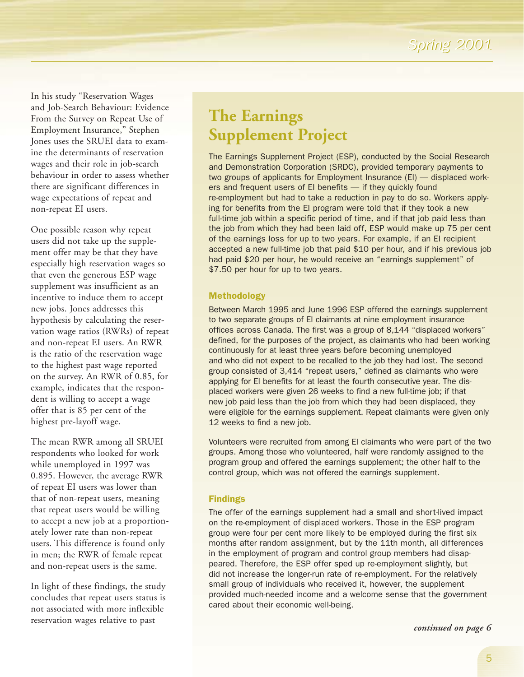In his study "Reservation Wages and Job-Search Behaviour: Evidence From the Survey on Repeat Use of Employment Insurance," Stephen Jones uses the SRUEI data to examine the determinants of reservation wages and their role in job-search behaviour in order to assess whether there are significant differences in wage expectations of repeat and non-repeat EI users.

One possible reason why repeat users did not take up the supplement offer may be that they have especially high reservation wages so that even the generous ESP wage supplement was insufficient as an incentive to induce them to accept new jobs. Jones addresses this hypothesis by calculating the reservation wage ratios (RWRs) of repeat and non-repeat EI users. An RWR is the ratio of the reservation wage to the highest past wage reported on the survey. An RWR of 0.85, for example, indicates that the respondent is willing to accept a wage offer that is 85 per cent of the highest pre-layoff wage.

The mean RWR among all SRUEI respondents who looked for work while unemployed in 1997 was 0.895. However, the average RWR of repeat EI users was lower than that of non-repeat users, meaning that repeat users would be willing to accept a new job at a proportionately lower rate than non-repeat users. This difference is found only in men; the RWR of female repeat and non-repeat users is the same.

In light of these findings, the study concludes that repeat users status is not associated with more inflexible reservation wages relative to past

## **The Earnings Supplement Project**

The Earnings Supplement Project (ESP), conducted by the Social Research and Demonstration Corporation (SRDC), provided temporary payments to two groups of applicants for Employment Insurance (EI) — displaced workers and frequent users of EI benefits — if they quickly found re-employment but had to take a reduction in pay to do so. Workers applying for benefits from the EI program were told that if they took a new full-time job within a specific period of time, and if that job paid less than the job from which they had been laid off, ESP would make up 75 per cent of the earnings loss for up to two years. For example, if an EI recipient accepted a new full-time job that paid \$10 per hour, and if his previous job had paid \$20 per hour, he would receive an "earnings supplement" of \$7.50 per hour for up to two years.

### Methodology

Between March 1995 and June 1996 ESP offered the earnings supplement to two separate groups of EI claimants at nine employment insurance offices across Canada. The first was a group of 8,144 "displaced workers" defined, for the purposes of the project, as claimants who had been working continuously for at least three years before becoming unemployed and who did not expect to be recalled to the job they had lost. The second group consisted of 3,414 "repeat users," defined as claimants who were applying for EI benefits for at least the fourth consecutive year. The displaced workers were given 26 weeks to find a new full-time job; if that new job paid less than the job from which they had been displaced, they were eligible for the earnings supplement. Repeat claimants were given only 12 weeks to find a new job.

Volunteers were recruited from among EI claimants who were part of the two groups. Among those who volunteered, half were randomly assigned to the program group and offered the earnings supplement; the other half to the control group, which was not offered the earnings supplement.

### Findings

The offer of the earnings supplement had a small and short-lived impact on the re-employment of displaced workers. Those in the ESP program group were four per cent more likely to be employed during the first six months after random assignment, but by the 11th month, all differences in the employment of program and control group members had disappeared. Therefore, the ESP offer sped up re-employment slightly, but did not increase the longer-run rate of re-employment. For the relatively small group of individuals who received it, however, the supplement provided much-needed income and a welcome sense that the government cared about their economic well-being.

*continued on page 6*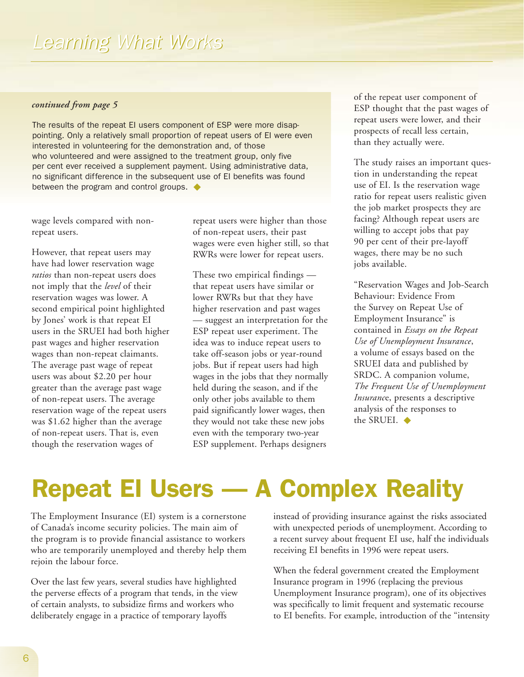#### *continued from page 5*

<span id="page-5-0"></span>The results of the repeat EI users component of ESP were more disappointing. Only a relatively small proportion of repeat users of EI were even interested in volunteering for the demonstration and, of those who volunteered and were assigned to the treatment group, only five per cent ever received a supplement payment. Using administrative data, no significant difference in the subsequent use of EI benefits was found between the program and control groups. ◆

wage levels compared with nonrepeat users.

However, that repeat users may have had lower reservation wage *ratios* than non-repeat users does not imply that the *level* of their reservation wages was lower. A second empirical point highlighted by Jones' work is that repeat EI users in the SRUEI had both higher past wages and higher reservation wages than non-repeat claimants. The average past wage of repeat users was about \$2.20 per hour greater than the average past wage of non-repeat users. The average reservation wage of the repeat users was \$1.62 higher than the average of non-repeat users. That is, even though the reservation wages of

repeat users were higher than those of non-repeat users, their past wages were even higher still, so that RWRs were lower for repeat users.

These two empirical findings that repeat users have similar or lower RWRs but that they have higher reservation and past wages — suggest an interpretation for the ESP repeat user experiment. The idea was to induce repeat users to take off-season jobs or year-round jobs. But if repeat users had high wages in the jobs that they normally held during the season, and if the only other jobs available to them paid significantly lower wages, then they would not take these new jobs even with the temporary two-year ESP supplement. Perhaps designers

of the repeat user component of ESP thought that the past wages of repeat users were lower, and their prospects of recall less certain, than they actually were.

The study raises an important question in understanding the repeat use of EI. Is the reservation wage ratio for repeat users realistic given the job market prospects they are facing? Although repeat users are willing to accept jobs that pay 90 per cent of their pre-layoff wages, there may be no such jobs available.

"Reservation Wages and Job-Search Behaviour: Evidence From the Survey on Repeat Use of Employment Insurance" is contained in *Essays on the Repeat Use of Unemployment Insurance*, a volume of essays based on the SRUEI data and published by SRDC. A companion volume, *The Frequent Use of Unemployment Insuranc*e, presents a descriptive analysis of the responses to the SRUEI. ◆

## Repeat EI Users — A Complex Reality

The Employment Insurance (EI) system is a cornerstone of Canada's income security policies. The main aim of the program is to provide financial assistance to workers who are temporarily unemployed and thereby help them rejoin the labour force.

Over the last few years, several studies have highlighted the perverse effects of a program that tends, in the view of certain analysts, to subsidize firms and workers who deliberately engage in a practice of temporary layoffs

instead of providing insurance against the risks associated with unexpected periods of unemployment. According to a recent survey about frequent EI use, half the individuals receiving EI benefits in 1996 were repeat users.

When the federal government created the Employment Insurance program in 1996 (replacing the previous Unemployment Insurance program), one of its objectives was specifically to limit frequent and systematic recourse to EI benefits. For example, introduction of the "intensity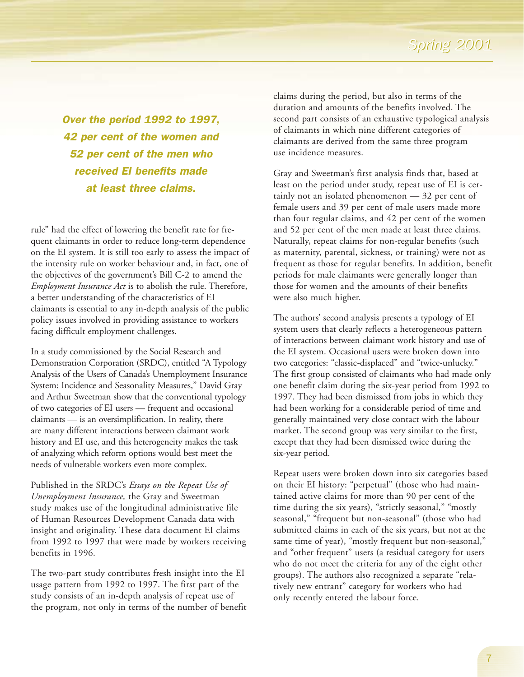*Over the period 1992 to 1997, 42 per cent of the women and 52 per cent of the men who received EI benefits made at least three claims.*

rule" had the effect of lowering the benefit rate for frequent claimants in order to reduce long-term dependence on the EI system. It is still too early to assess the impact of the intensity rule on worker behaviour and, in fact, one of the objectives of the government's Bill C-2 to amend the *Employment Insurance Act* is to abolish the rule. Therefore, a better understanding of the characteristics of EI claimants is essential to any in-depth analysis of the public policy issues involved in providing assistance to workers facing difficult employment challenges.

In a study commissioned by the Social Research and Demonstration Corporation (SRDC), entitled "A Typology Analysis of the Users of Canada's Unemployment Insurance System: Incidence and Seasonality Measures," David Gray and Arthur Sweetman show that the conventional typology of two categories of EI users — frequent and occasional claimants — is an oversimplification. In reality, there are many different interactions between claimant work history and EI use, and this heterogeneity makes the task of analyzing which reform options would best meet the needs of vulnerable workers even more complex.

Published in the SRDC's *Essays on the Repeat Use of Unemployment Insurance,* the Gray and Sweetman study makes use of the longitudinal administrative file of Human Resources Development Canada data with insight and originality. These data document EI claims from 1992 to 1997 that were made by workers receiving benefits in 1996.

The two-part study contributes fresh insight into the EI usage pattern from 1992 to 1997. The first part of the study consists of an in-depth analysis of repeat use of the program, not only in terms of the number of benefit claims during the period, but also in terms of the duration and amounts of the benefits involved. The second part consists of an exhaustive typological analysis of claimants in which nine different categories of claimants are derived from the same three program use incidence measures.

Gray and Sweetman's first analysis finds that, based at least on the period under study, repeat use of EI is certainly not an isolated phenomenon — 32 per cent of female users and 39 per cent of male users made more than four regular claims, and 42 per cent of the women and 52 per cent of the men made at least three claims. Naturally, repeat claims for non-regular benefits (such as maternity, parental, sickness, or training) were not as frequent as those for regular benefits. In addition, benefit periods for male claimants were generally longer than those for women and the amounts of their benefits were also much higher.

The authors' second analysis presents a typology of EI system users that clearly reflects a heterogeneous pattern of interactions between claimant work history and use of the EI system. Occasional users were broken down into two categories: "classic-displaced" and "twice-unlucky." The first group consisted of claimants who had made only one benefit claim during the six-year period from 1992 to 1997. They had been dismissed from jobs in which they had been working for a considerable period of time and generally maintained very close contact with the labour market. The second group was very similar to the first, except that they had been dismissed twice during the six-year period.

Repeat users were broken down into six categories based on their EI history: "perpetual" (those who had maintained active claims for more than 90 per cent of the time during the six years), "strictly seasonal," "mostly seasonal," "frequent but non-seasonal" (those who had submitted claims in each of the six years, but not at the same time of year), "mostly frequent but non-seasonal," and "other frequent" users (a residual category for users who do not meet the criteria for any of the eight other groups). The authors also recognized a separate "relatively new entrant" category for workers who had only recently entered the labour force.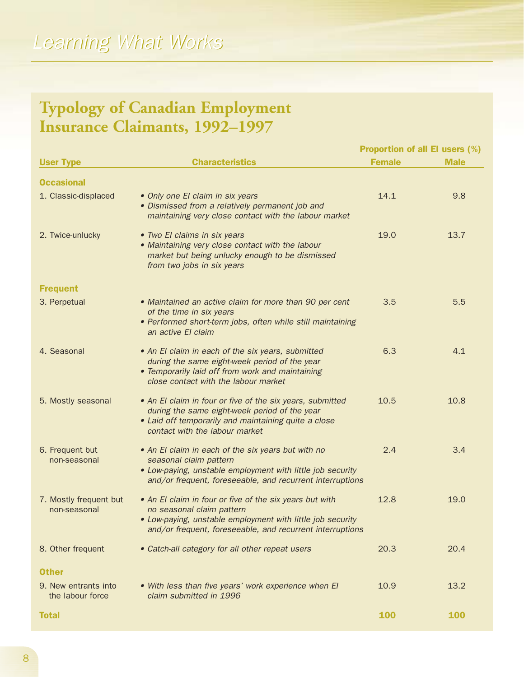## *Learning What Works Learning What Works*

## **Typology of Canadian Employment Insurance Claimants, 1992–1997**

| <b>User Type</b>                         | <b>Characteristics</b>                                                                                                                                                                                          | <b>Proportion of all El users (%)</b> |             |
|------------------------------------------|-----------------------------------------------------------------------------------------------------------------------------------------------------------------------------------------------------------------|---------------------------------------|-------------|
|                                          |                                                                                                                                                                                                                 | <b>Female</b>                         | <b>Male</b> |
| <b>Occasional</b>                        |                                                                                                                                                                                                                 |                                       |             |
| 1. Classic-displaced                     | • Only one El claim in six years<br>• Dismissed from a relatively permanent job and<br>maintaining very close contact with the labour market                                                                    | 14.1                                  | 9.8         |
| 2. Twice-unlucky                         | • Two El claims in six years<br>• Maintaining very close contact with the labour<br>market but being unlucky enough to be dismissed<br>from two jobs in six years                                               | 19.0                                  | 13.7        |
| <b>Frequent</b>                          |                                                                                                                                                                                                                 |                                       |             |
| 3. Perpetual                             | • Maintained an active claim for more than 90 per cent<br>of the time in six years<br>• Performed short-term jobs, often while still maintaining<br>an active El claim                                          | 3.5                                   | 5.5         |
| 4. Seasonal                              | • An El claim in each of the six years, submitted<br>during the same eight-week period of the year<br>• Temporarily laid off from work and maintaining<br>close contact with the labour market                  | 6.3                                   | 4.1         |
| 5. Mostly seasonal                       | • An El claim in four or five of the six years, submitted<br>during the same eight-week period of the year<br>• Laid off temporarily and maintaining quite a close<br>contact with the labour market            | 10.5                                  | 10.8        |
| 6. Frequent but<br>non-seasonal          | • An El claim in each of the six years but with no<br>seasonal claim pattern<br>• Low-paying, unstable employment with little job security<br>and/or frequent, foreseeable, and recurrent interruptions         | 2.4                                   | 3.4         |
| 7. Mostly frequent but<br>non-seasonal   | • An El claim in four or five of the six years but with<br>no seasonal claim pattern<br>• Low-paying, unstable employment with little job security<br>and/or frequent, foreseeable, and recurrent interruptions | 12.8                                  | 19.0        |
| 8. Other frequent                        | • Catch-all category for all other repeat users                                                                                                                                                                 | 20.3                                  | 20.4        |
| <b>Other</b>                             |                                                                                                                                                                                                                 |                                       |             |
| 9. New entrants into<br>the labour force | . With less than five years' work experience when El<br>claim submitted in 1996                                                                                                                                 | 10.9                                  | 13.2        |
| <b>Total</b>                             |                                                                                                                                                                                                                 | 100                                   | <b>100</b>  |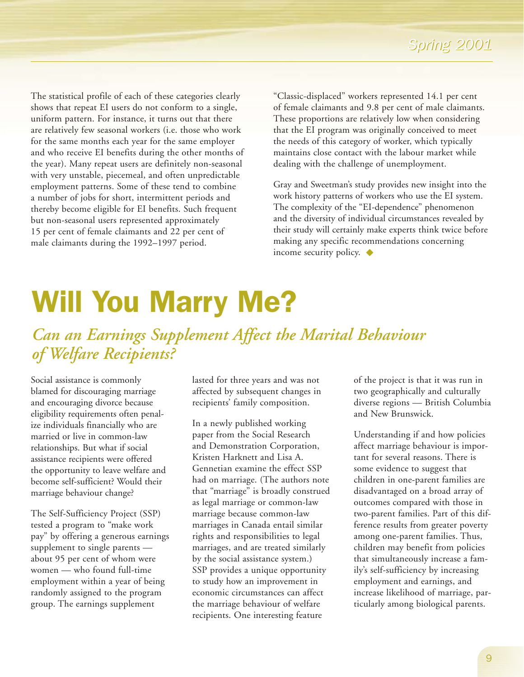<span id="page-8-0"></span>The statistical profile of each of these categories clearly shows that repeat EI users do not conform to a single, uniform pattern. For instance, it turns out that there are relatively few seasonal workers (i.e. those who work for the same months each year for the same employer and who receive EI benefits during the other months of the year). Many repeat users are definitely non-seasonal with very unstable, piecemeal, and often unpredictable employment patterns. Some of these tend to combine a number of jobs for short, intermittent periods and thereby become eligible for EI benefits. Such frequent but non-seasonal users represented approximately 15 per cent of female claimants and 22 per cent of male claimants during the 1992–1997 period.

"Classic-displaced" workers represented 14.1 per cent of female claimants and 9.8 per cent of male claimants. These proportions are relatively low when considering that the EI program was originally conceived to meet the needs of this category of worker, which typically maintains close contact with the labour market while dealing with the challenge of unemployment.

Gray and Sweetman's study provides new insight into the work history patterns of workers who use the EI system. The complexity of the "EI-dependence" phenomenon and the diversity of individual circumstances revealed by their study will certainly make experts think twice before making any specific recommendations concerning income security policy. ◆

## Will You Marry Me?

## *Can an Earnings Supplement Affect the Marital Behaviour of Welfare Recipients?*

Social assistance is commonly blamed for discouraging marriage and encouraging divorce because eligibility requirements often penalize individuals financially who are married or live in common-law relationships. But what if social assistance recipients were offered the opportunity to leave welfare and become self-sufficient? Would their marriage behaviour change?

The Self-Sufficiency Project (SSP) tested a program to "make work pay" by offering a generous earnings supplement to single parents about 95 per cent of whom were women — who found full-time employment within a year of being randomly assigned to the program group. The earnings supplement

lasted for three years and was not affected by subsequent changes in recipients' family composition.

In a newly published working paper from the Social Research and Demonstration Corporation, Kristen Harknett and Lisa A. Gennetian examine the effect SSP had on marriage. (The authors note that "marriage" is broadly construed as legal marriage or common-law marriage because common-law marriages in Canada entail similar rights and responsibilities to legal marriages, and are treated similarly by the social assistance system.) SSP provides a unique opportunity to study how an improvement in economic circumstances can affect the marriage behaviour of welfare recipients. One interesting feature

of the project is that it was run in two geographically and culturally diverse regions — British Columbia and New Brunswick.

Understanding if and how policies affect marriage behaviour is important for several reasons. There is some evidence to suggest that children in one-parent families are disadvantaged on a broad array of outcomes compared with those in two-parent families. Part of this difference results from greater poverty among one-parent families. Thus, children may benefit from policies that simultaneously increase a family's self-sufficiency by increasing employment and earnings, and increase likelihood of marriage, particularly among biological parents.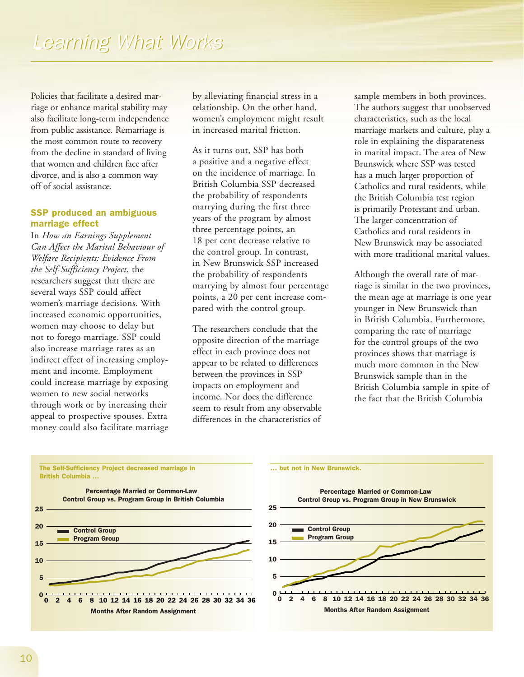Policies that facilitate a desired marriage or enhance marital stability may also facilitate long-term independence from public assistance. Remarriage is the most common route to recovery from the decline in standard of living that women and children face after divorce, and is also a common way off of social assistance.

### SSP produced an ambiguous marriage effect

In *How an Earnings Supplement Can Affect the Marital Behaviour of Welfare Recipients: Evidence From the Self-Sufficiency Project*, the researchers suggest that there are several ways SSP could affect women's marriage decisions. With increased economic opportunities, women may choose to delay but not to forego marriage. SSP could also increase marriage rates as an indirect effect of increasing employment and income. Employment could increase marriage by exposing women to new social networks through work or by increasing their appeal to prospective spouses. Extra money could also facilitate marriage by alleviating financial stress in a relationship. On the other hand, women's employment might result in increased marital friction.

As it turns out, SSP has both a positive and a negative effect on the incidence of marriage. In British Columbia SSP decreased the probability of respondents marrying during the first three years of the program by almost three percentage points, an 18 per cent decrease relative to the control group. In contrast, in New Brunswick SSP increased the probability of respondents marrying by almost four percentage points, a 20 per cent increase compared with the control group.

The researchers conclude that the opposite direction of the marriage effect in each province does not appear to be related to differences between the provinces in SSP impacts on employment and income. Nor does the difference seem to result from any observable differences in the characteristics of sample members in both provinces. The authors suggest that unobserved characteristics, such as the local marriage markets and culture, play a role in explaining the disparateness in marital impact. The area of New Brunswick where SSP was tested has a much larger proportion of Catholics and rural residents, while the British Columbia test region is primarily Protestant and urban. The larger concentration of Catholics and rural residents in New Brunswick may be associated with more traditional marital values.

Although the overall rate of marriage is similar in the two provinces, the mean age at marriage is one year younger in New Brunswick than in British Columbia. Furthermore, comparing the rate of marriage for the control groups of the two provinces shows that marriage is much more common in the New Brunswick sample than in the British Columbia sample in spite of the fact that the British Columbia



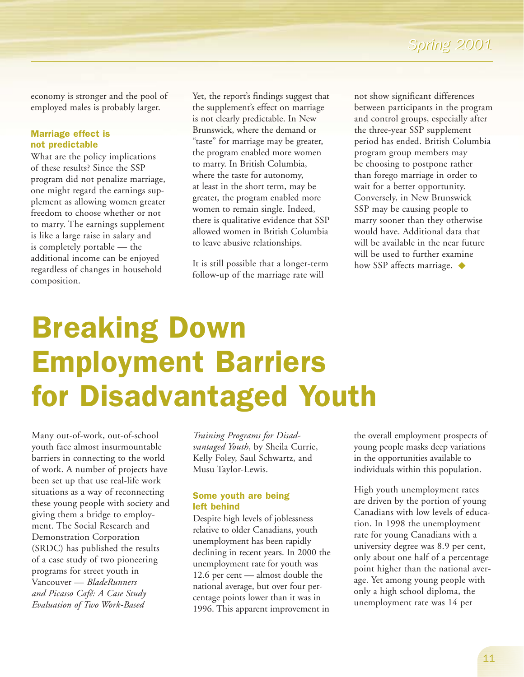economy is stronger and the pool of employed males is probably larger.

### <span id="page-10-0"></span>Marriage effect is not predictable

What are the policy implications of these results? Since the SSP program did not penalize marriage, one might regard the earnings supplement as allowing women greater freedom to choose whether or not to marry. The earnings supplement is like a large raise in salary and is completely portable — the additional income can be enjoyed regardless of changes in household composition.

Yet, the report's findings suggest that the supplement's effect on marriage is not clearly predictable. In New Brunswick, where the demand or "taste" for marriage may be greater, the program enabled more women to marry. In British Columbia, where the taste for autonomy, at least in the short term, may be greater, the program enabled more women to remain single. Indeed, there is qualitative evidence that SSP allowed women in British Columbia to leave abusive relationships.

It is still possible that a longer-term follow-up of the marriage rate will

not show significant differences between participants in the program and control groups, especially after the three-year SSP supplement period has ended. British Columbia program group members may be choosing to postpone rather than forego marriage in order to wait for a better opportunity. Conversely, in New Brunswick SSP may be causing people to marry sooner than they otherwise would have. Additional data that will be available in the near future will be used to further examine how SSP affects marriage. ◆

# Breaking Down Employment Barriers for Disadvantaged Youth

Many out-of-work, out-of-school youth face almost insurmountable barriers in connecting to the world of work. A number of projects have been set up that use real-life work situations as a way of reconnecting these young people with society and giving them a bridge to employment. The Social Research and Demonstration Corporation (SRDC) has published the results of a case study of two pioneering programs for street youth in Vancouver — *BladeRunners and Picasso Café: A Case Study Evaluation of Two Work-Based*

*Training Programs for Disadvantaged Youth*, by Sheila Currie, Kelly Foley, Saul Schwartz, and Musu Taylor-Lewis.

## Some youth are being left behind

Despite high levels of joblessness relative to older Canadians, youth unemployment has been rapidly declining in recent years. In 2000 the unemployment rate for youth was 12.6 per cent — almost double the national average, but over four percentage points lower than it was in 1996. This apparent improvement in

the overall employment prospects of young people masks deep variations in the opportunities available to individuals within this population.

High youth unemployment rates are driven by the portion of young Canadians with low levels of education. In 1998 the unemployment rate for young Canadians with a university degree was 8.9 per cent, only about one half of a percentage point higher than the national average. Yet among young people with only a high school diploma, the unemployment rate was 14 per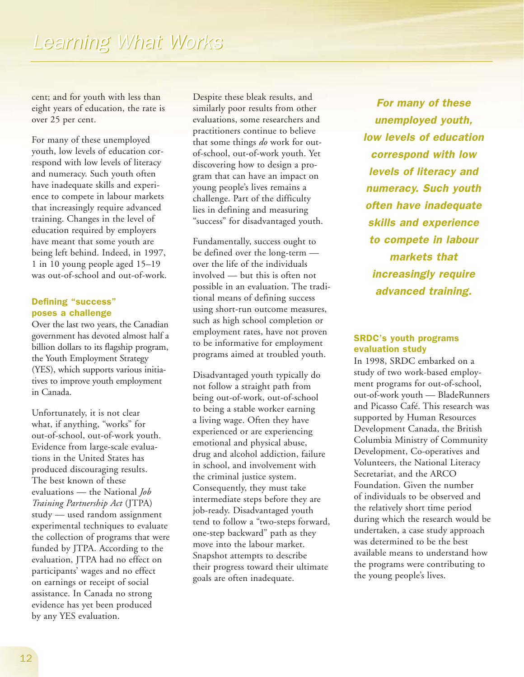cent; and for youth with less than eight years of education, the rate is over 25 per cent.

For many of these unemployed youth, low levels of education correspond with low levels of literacy and numeracy. Such youth often have inadequate skills and experience to compete in labour markets that increasingly require advanced training. Changes in the level of education required by employers have meant that some youth are being left behind. Indeed, in 1997, 1 in 10 young people aged 15–19 was out-of-school and out-of-work.

#### Defining "success" poses a challenge

Over the last two years, the Canadian government has devoted almost half a billion dollars to its flagship program, the Youth Employment Strategy (YES), which supports various initiatives to improve youth employment in Canada.

Unfortunately, it is not clear what, if anything, "works" for out-of-school, out-of-work youth. Evidence from large-scale evaluations in the United States has produced discouraging results. The best known of these evaluations — the National *Job Training Partnership Act* (JTPA) study — used random assignment experimental techniques to evaluate the collection of programs that were funded by JTPA. According to the evaluation, JTPA had no effect on participants' wages and no effect on earnings or receipt of social assistance. In Canada no strong evidence has yet been produced by any YES evaluation.

Despite these bleak results, and similarly poor results from other evaluations, some researchers and practitioners continue to believe that some things *do* work for outof-school, out-of-work youth. Yet discovering how to design a program that can have an impact on young people's lives remains a challenge. Part of the difficulty lies in defining and measuring "success" for disadvantaged youth.

Fundamentally, success ought to be defined over the long-term over the life of the individuals involved — but this is often not possible in an evaluation. The traditional means of defining success using short-run outcome measures, such as high school completion or employment rates, have not proven to be informative for employment programs aimed at troubled youth.

Disadvantaged youth typically do not follow a straight path from being out-of-work, out-of-school to being a stable worker earning a living wage. Often they have experienced or are experiencing emotional and physical abuse, drug and alcohol addiction, failure in school, and involvement with the criminal justice system. Consequently, they must take intermediate steps before they are job-ready. Disadvantaged youth tend to follow a "two-steps forward, one-step backward" path as they move into the labour market. Snapshot attempts to describe their progress toward their ultimate goals are often inadequate.

*For many of these unemployed youth, low levels of education correspond with low levels of literacy and numeracy. Such youth often have inadequate skills and experience to compete in labour markets that increasingly require advanced training.*

## SRDC's youth programs evaluation study

In 1998, SRDC embarked on a study of two work-based employment programs for out-of-school, out-of-work youth — BladeRunners and Picasso Café. This research was supported by Human Resources Development Canada, the British Columbia Ministry of Community Development, Co-operatives and Volunteers, the National Literacy Secretariat, and the ARCO Foundation. Given the number of individuals to be observed and the relatively short time period during which the research would be undertaken, a case study approach was determined to be the best available means to understand how the programs were contributing to the young people's lives.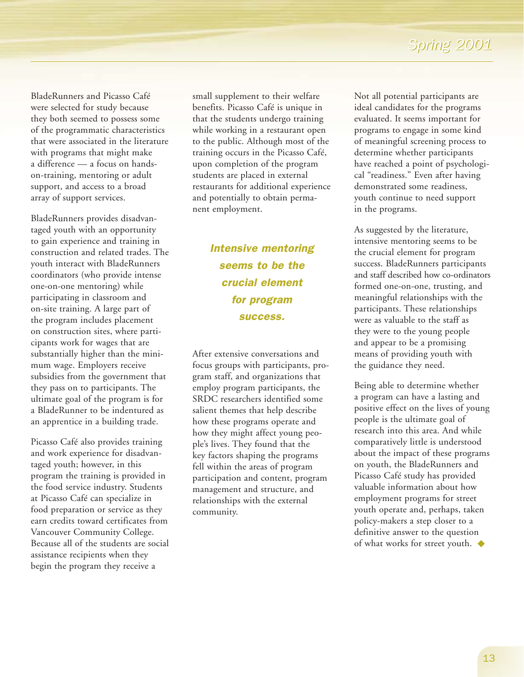BladeRunners and Picasso Café were selected for study because they both seemed to possess some of the programmatic characteristics that were associated in the literature with programs that might make a difference — a focus on handson-training, mentoring or adult support, and access to a broad array of support services.

BladeRunners provides disadvantaged youth with an opportunity to gain experience and training in construction and related trades. The youth interact with BladeRunners coordinators (who provide intense one-on-one mentoring) while participating in classroom and on-site training. A large part of the program includes placement on construction sites, where participants work for wages that are substantially higher than the minimum wage. Employers receive subsidies from the government that they pass on to participants. The ultimate goal of the program is for a BladeRunner to be indentured as an apprentice in a building trade.

Picasso Café also provides training and work experience for disadvantaged youth; however, in this program the training is provided in the food service industry. Students at Picasso Café can specialize in food preparation or service as they earn credits toward certificates from Vancouver Community College. Because all of the students are social assistance recipients when they begin the program they receive a

small supplement to their welfare benefits. Picasso Café is unique in that the students undergo training while working in a restaurant open to the public. Although most of the training occurs in the Picasso Café, upon completion of the program students are placed in external restaurants for additional experience and potentially to obtain permanent employment.

## *Intensive mentoring seems to be the crucial element for program success.*

After extensive conversations and focus groups with participants, program staff, and organizations that employ program participants, the SRDC researchers identified some salient themes that help describe how these programs operate and how they might affect young people's lives. They found that the key factors shaping the programs fell within the areas of program participation and content, program management and structure, and relationships with the external community.

Not all potential participants are ideal candidates for the programs evaluated. It seems important for programs to engage in some kind of meaningful screening process to determine whether participants have reached a point of psychological "readiness." Even after having demonstrated some readiness, youth continue to need support in the programs.

As suggested by the literature, intensive mentoring seems to be the crucial element for program success. BladeRunners participants and staff described how co-ordinators formed one-on-one, trusting, and meaningful relationships with the participants. These relationships were as valuable to the staff as they were to the young people and appear to be a promising means of providing youth with the guidance they need.

Being able to determine whether a program can have a lasting and positive effect on the lives of young people is the ultimate goal of research into this area. And while comparatively little is understood about the impact of these programs on youth, the BladeRunners and Picasso Café study has provided valuable information about how employment programs for street youth operate and, perhaps, taken policy-makers a step closer to a definitive answer to the question of what works for street youth. ◆